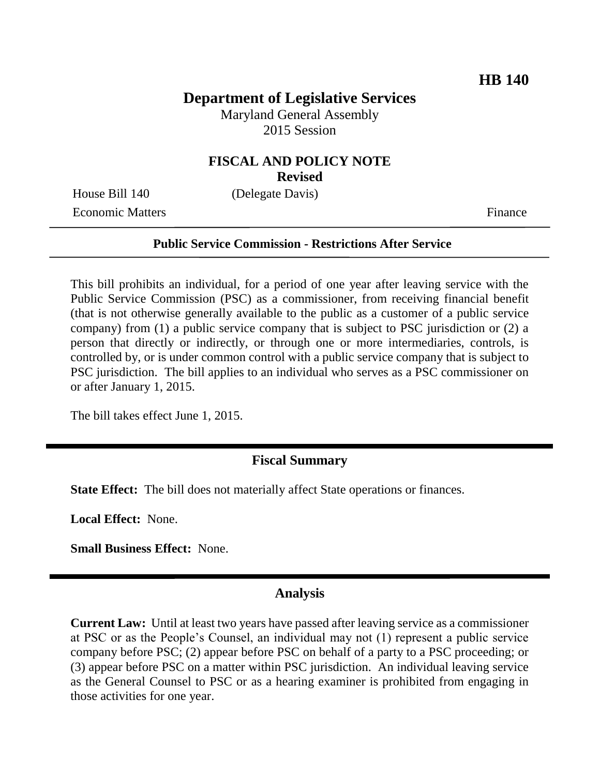## **Department of Legislative Services**

Maryland General Assembly 2015 Session

# **FISCAL AND POLICY NOTE**

**Revised**

House Bill 140 (Delegate Davis) Economic Matters Finance

#### **Public Service Commission - Restrictions After Service**

This bill prohibits an individual, for a period of one year after leaving service with the Public Service Commission (PSC) as a commissioner, from receiving financial benefit (that is not otherwise generally available to the public as a customer of a public service company) from (1) a public service company that is subject to PSC jurisdiction or (2) a person that directly or indirectly, or through one or more intermediaries, controls, is controlled by, or is under common control with a public service company that is subject to PSC jurisdiction. The bill applies to an individual who serves as a PSC commissioner on or after January 1, 2015.

The bill takes effect June 1, 2015.

### **Fiscal Summary**

**State Effect:** The bill does not materially affect State operations or finances.

**Local Effect:** None.

**Small Business Effect:** None.

#### **Analysis**

**Current Law:** Until at least two years have passed after leaving service as a commissioner at PSC or as the People's Counsel, an individual may not (1) represent a public service company before PSC; (2) appear before PSC on behalf of a party to a PSC proceeding; or (3) appear before PSC on a matter within PSC jurisdiction. An individual leaving service as the General Counsel to PSC or as a hearing examiner is prohibited from engaging in those activities for one year.